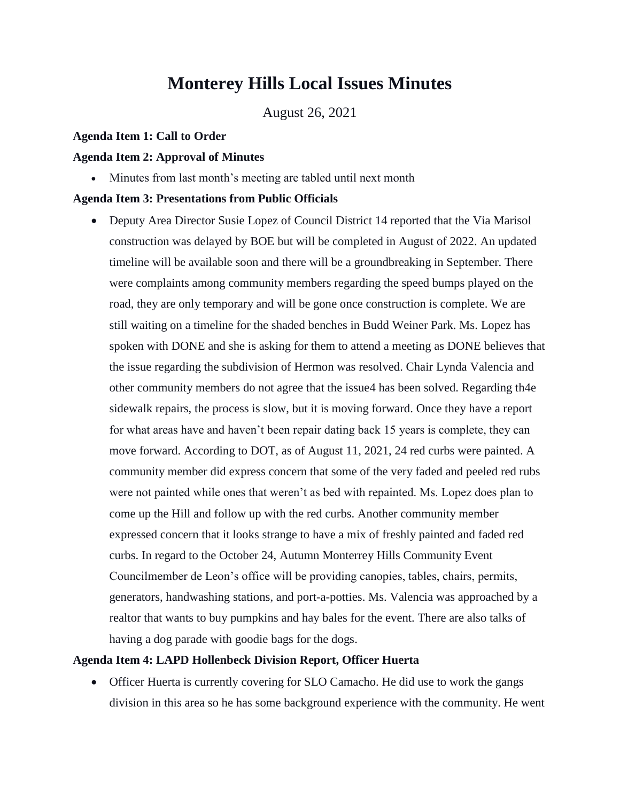# **Monterey Hills Local Issues Minutes**

August 26, 2021

#### **Agenda Item 1: Call to Order**

#### **Agenda Item 2: Approval of Minutes**

• Minutes from last month's meeting are tabled until next month

#### **Agenda Item 3: Presentations from Public Officials**

• Deputy Area Director Susie Lopez of Council District 14 reported that the Via Marisol construction was delayed by BOE but will be completed in August of 2022. An updated timeline will be available soon and there will be a groundbreaking in September. There were complaints among community members regarding the speed bumps played on the road, they are only temporary and will be gone once construction is complete. We are still waiting on a timeline for the shaded benches in Budd Weiner Park. Ms. Lopez has spoken with DONE and she is asking for them to attend a meeting as DONE believes that the issue regarding the subdivision of Hermon was resolved. Chair Lynda Valencia and other community members do not agree that the issue4 has been solved. Regarding th4e sidewalk repairs, the process is slow, but it is moving forward. Once they have a report for what areas have and haven't been repair dating back 15 years is complete, they can move forward. According to DOT, as of August 11, 2021, 24 red curbs were painted. A community member did express concern that some of the very faded and peeled red rubs were not painted while ones that weren't as bed with repainted. Ms. Lopez does plan to come up the Hill and follow up with the red curbs. Another community member expressed concern that it looks strange to have a mix of freshly painted and faded red curbs. In regard to the October 24, Autumn Monterrey Hills Community Event Councilmember de Leon's office will be providing canopies, tables, chairs, permits, generators, handwashing stations, and port-a-potties. Ms. Valencia was approached by a realtor that wants to buy pumpkins and hay bales for the event. There are also talks of having a dog parade with goodie bags for the dogs.

#### **Agenda Item 4: LAPD Hollenbeck Division Report, Officer Huerta**

• Officer Huerta is currently covering for SLO Camacho. He did use to work the gangs division in this area so he has some background experience with the community. He went